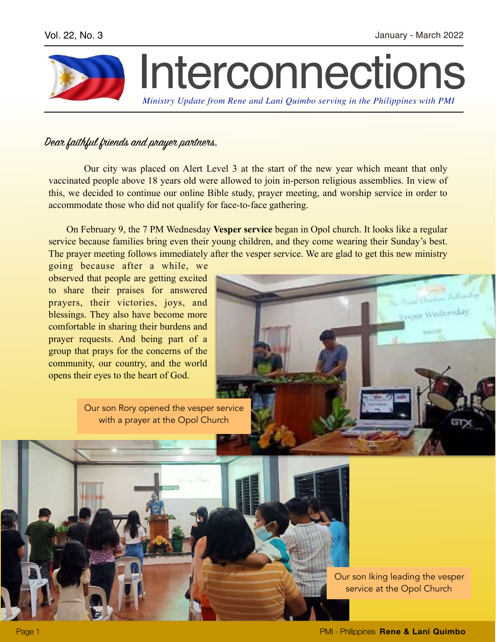Verpor Wednesday



## Dear faithful friends and prayer partners,

 Our city was placed on Alert Level 3 at the start of the new year which meant that only vaccinated people above 18 years old were allowed to join in-person religious assemblies. In view of this, we decided to continue our online Bible study, prayer meeting, and worship service in order to accommodate those who did not qualify for face-to-face gathering.

 On February 9, the 7 PM Wednesday **Vesper service** began in Opol church. It looks like a regular service because families bring even their young children, and they come wearing their Sunday's best. The prayer meeting follows immediately after the vesper service. We are glad to get this new ministry

going because after a while, we observed that people are getting excited to share their praises for answered prayers, their victories, joys, and blessings. They also have become more comfortable in sharing their burdens and prayer requests. And being part of a group that prays for the concerns of the community, our country, and the world opens their eyes to the heart of God.

> Our son Rory opened the vesper service with a prayer at the Opol Church

> > Our son Iking leading the vesper service at the Opol Church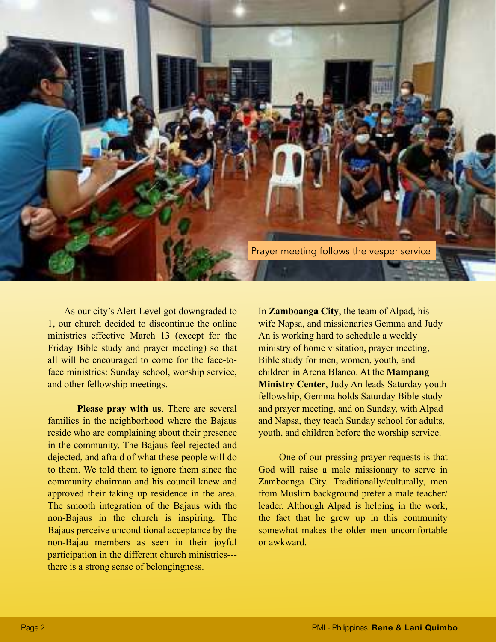

 As our city's Alert Level got downgraded to 1, our church decided to discontinue the online ministries effective March 13 (except for the Friday Bible study and prayer meeting) so that all will be encouraged to come for the face-toface ministries: Sunday school, worship service, and other fellowship meetings.

 **Please pray with us**. There are several families in the neighborhood where the Bajaus reside who are complaining about their presence in the community. The Bajaus feel rejected and dejected, and afraid of what these people will do to them. We told them to ignore them since the community chairman and his council knew and approved their taking up residence in the area. The smooth integration of the Bajaus with the non-Bajaus in the church is inspiring. The Bajaus perceive unconditional acceptance by the non-Bajau members as seen in their joyful participation in the different church ministries-- there is a strong sense of belongingness.

In **Zamboanga City**, the team of Alpad, his wife Napsa, and missionaries Gemma and Judy An is working hard to schedule a weekly ministry of home visitation, prayer meeting, Bible study for men, women, youth, and children in Arena Blanco. At the **Mampang Ministry Center**, Judy An leads Saturday youth fellowship, Gemma holds Saturday Bible study and prayer meeting, and on Sunday, with Alpad and Napsa, they teach Sunday school for adults, youth, and children before the worship service.

 One of our pressing prayer requests is that God will raise a male missionary to serve in Zamboanga City. Traditionally/culturally, men from Muslim background prefer a male teacher/ leader. Although Alpad is helping in the work, the fact that he grew up in this community somewhat makes the older men uncomfortable or awkward.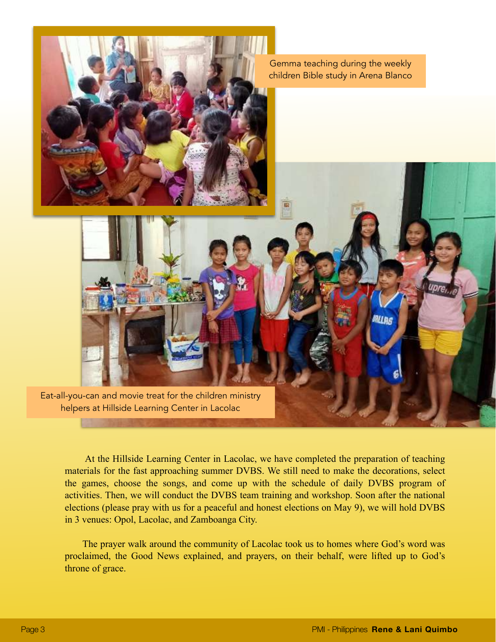

 At the Hillside Learning Center in Lacolac, we have completed the preparation of teaching materials for the fast approaching summer DVBS. We still need to make the decorations, select the games, choose the songs, and come up with the schedule of daily DVBS program of activities. Then, we will conduct the DVBS team training and workshop. Soon after the national elections (please pray with us for a peaceful and honest elections on May 9), we will hold DVBS in 3 venues: Opol, Lacolac, and Zamboanga City.

 The prayer walk around the community of Lacolac took us to homes where God's word was proclaimed, the Good News explained, and prayers, on their behalf, were lifted up to God's throne of grace.